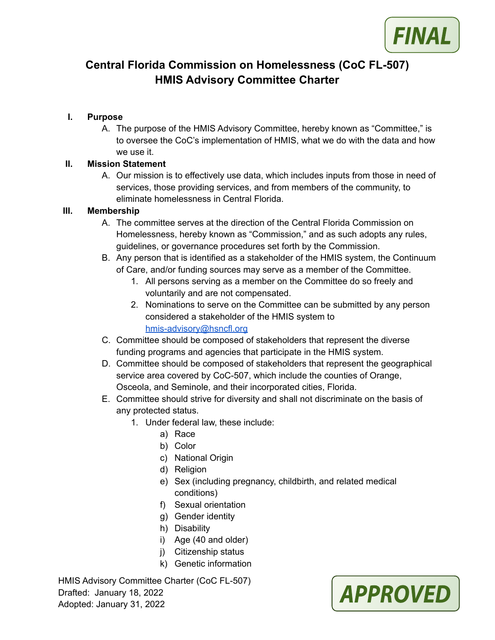

# **Central Florida Commission on Homelessness (CoC FL-507) HMIS Advisory Committee Charter**

### **I. Purpose**

A. The purpose of the HMIS Advisory Committee, hereby known as "Committee," is to oversee the CoC's implementation of HMIS, what we do with the data and how we use it.

#### **II. Mission Statement**

A. Our mission is to effectively use data, which includes inputs from those in need of services, those providing services, and from members of the community, to eliminate homelessness in Central Florida.

#### **III. Membership**

- A. The committee serves at the direction of the Central Florida Commission on Homelessness, hereby known as "Commission," and as such adopts any rules, guidelines, or governance procedures set forth by the Commission.
- B. Any person that is identified as a stakeholder of the HMIS system, the Continuum of Care, and/or funding sources may serve as a member of the Committee.
	- 1. All persons serving as a member on the Committee do so freely and voluntarily and are not compensated.
	- 2. Nominations to serve on the Committee can be submitted by any person considered a stakeholder of the HMIS system to [hmis-advisory@hsncfl.org](mailto:hmis-advisory@hsncfl.org)
- C. Committee should be composed of stakeholders that represent the diverse funding programs and agencies that participate in the HMIS system.
- D. Committee should be composed of stakeholders that represent the geographical service area covered by CoC-507, which include the counties of Orange, Osceola, and Seminole, and their incorporated cities, Florida.
- E. Committee should strive for diversity and shall not discriminate on the basis of any protected status.
	- 1. Under federal law, these include:
		- a) Race
			- b) Color
		- c) National Origin
		- d) Religion
		- e) Sex (including pregnancy, childbirth, and related medical conditions)
		- f) Sexual orientation
		- g) Gender identity
		- h) Disability
		- i) Age (40 and older)
		- j) Citizenship status
		- k) Genetic information

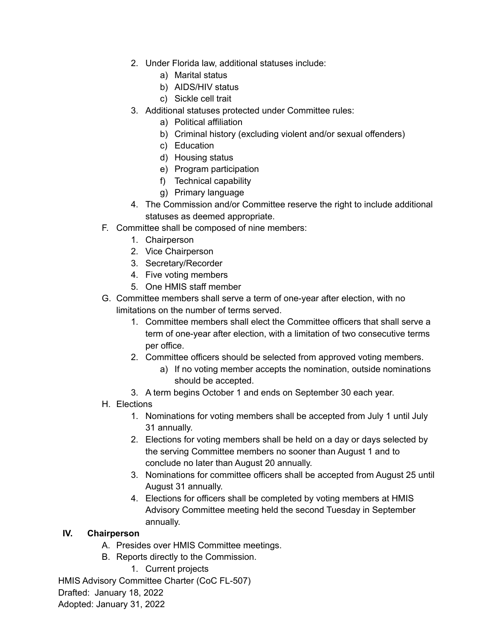- 2. Under Florida law, additional statuses include:
	- a) Marital status
	- b) AIDS/HIV status
	- c) Sickle cell trait
- 3. Additional statuses protected under Committee rules:
	- a) Political affiliation
	- b) Criminal history (excluding violent and/or sexual offenders)
	- c) Education
	- d) Housing status
	- e) Program participation
	- f) Technical capability
	- g) Primary language
- 4. The Commission and/or Committee reserve the right to include additional statuses as deemed appropriate.
- F. Committee shall be composed of nine members:
	- 1. Chairperson
	- 2. Vice Chairperson
	- 3. Secretary/Recorder
	- 4. Five voting members
	- 5. One HMIS staff member
- G. Committee members shall serve a term of one-year after election, with no limitations on the number of terms served.
	- 1. Committee members shall elect the Committee officers that shall serve a term of one-year after election, with a limitation of two consecutive terms per office.
	- 2. Committee officers should be selected from approved voting members.
		- a) If no voting member accepts the nomination, outside nominations should be accepted.
	- 3. A term begins October 1 and ends on September 30 each year.
- H. Elections
	- 1. Nominations for voting members shall be accepted from July 1 until July 31 annually.
	- 2. Elections for voting members shall be held on a day or days selected by the serving Committee members no sooner than August 1 and to conclude no later than August 20 annually.
	- 3. Nominations for committee officers shall be accepted from August 25 until August 31 annually.
	- 4. Elections for officers shall be completed by voting members at HMIS Advisory Committee meeting held the second Tuesday in September annually.

#### **IV. Chairperson**

- A. Presides over HMIS Committee meetings.
- B. Reports directly to the Commission.
	- 1. Current projects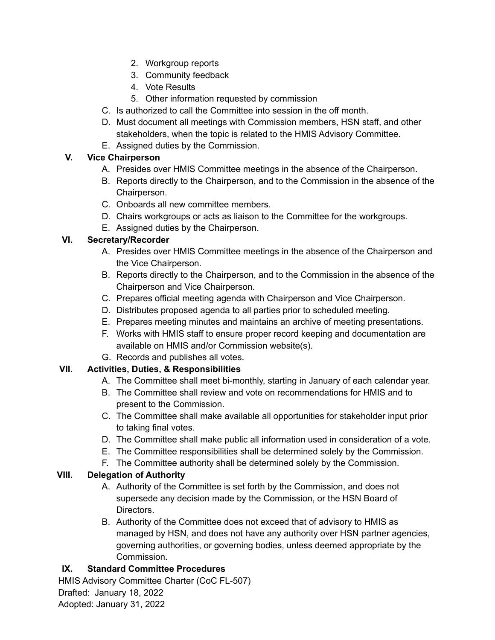- 2. Workgroup reports
- 3. Community feedback
- 4. Vote Results
- 5. Other information requested by commission
- C. Is authorized to call the Committee into session in the off month.
- D. Must document all meetings with Commission members, HSN staff, and other stakeholders, when the topic is related to the HMIS Advisory Committee.
- E. Assigned duties by the Commission.

## **V. Vice Chairperson**

- A. Presides over HMIS Committee meetings in the absence of the Chairperson.
- B. Reports directly to the Chairperson, and to the Commission in the absence of the Chairperson.
- C. Onboards all new committee members.
- D. Chairs workgroups or acts as liaison to the Committee for the workgroups.
- E. Assigned duties by the Chairperson.

### **VI. Secretary/Recorder**

- A. Presides over HMIS Committee meetings in the absence of the Chairperson and the Vice Chairperson.
- B. Reports directly to the Chairperson, and to the Commission in the absence of the Chairperson and Vice Chairperson.
- C. Prepares official meeting agenda with Chairperson and Vice Chairperson.
- D. Distributes proposed agenda to all parties prior to scheduled meeting.
- E. Prepares meeting minutes and maintains an archive of meeting presentations.
- F. Works with HMIS staff to ensure proper record keeping and documentation are available on HMIS and/or Commission website(s).
- G. Records and publishes all votes.

# **VII. Activities, Duties, & Responsibilities**

- A. The Committee shall meet bi-monthly, starting in January of each calendar year.
- B. The Committee shall review and vote on recommendations for HMIS and to present to the Commission.
- C. The Committee shall make available all opportunities for stakeholder input prior to taking final votes.
- D. The Committee shall make public all information used in consideration of a vote.
- E. The Committee responsibilities shall be determined solely by the Commission.
- F. The Committee authority shall be determined solely by the Commission.

# **VIII. Delegation of Authority**

- A. Authority of the Committee is set forth by the Commission, and does not supersede any decision made by the Commission, or the HSN Board of Directors.
- B. Authority of the Committee does not exceed that of advisory to HMIS as managed by HSN, and does not have any authority over HSN partner agencies, governing authorities, or governing bodies, unless deemed appropriate by the Commission.

# **IX. Standard Committee Procedures**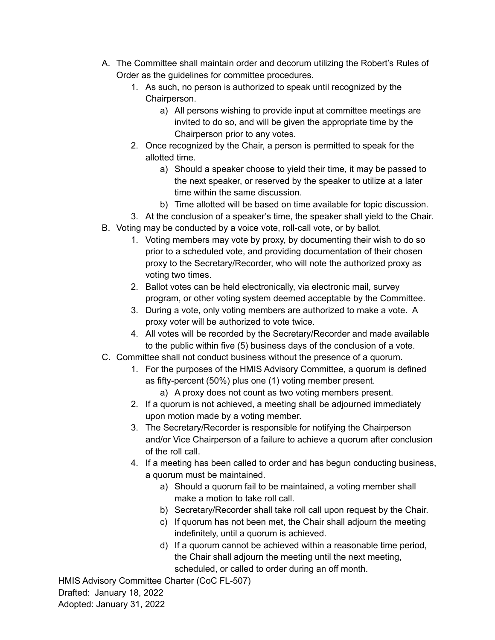- A. The Committee shall maintain order and decorum utilizing the Robert's Rules of Order as the guidelines for committee procedures.
	- 1. As such, no person is authorized to speak until recognized by the Chairperson.
		- a) All persons wishing to provide input at committee meetings are invited to do so, and will be given the appropriate time by the Chairperson prior to any votes.
	- 2. Once recognized by the Chair, a person is permitted to speak for the allotted time.
		- a) Should a speaker choose to yield their time, it may be passed to the next speaker, or reserved by the speaker to utilize at a later time within the same discussion.
		- b) Time allotted will be based on time available for topic discussion.
	- 3. At the conclusion of a speaker's time, the speaker shall yield to the Chair.
- B. Voting may be conducted by a voice vote, roll-call vote, or by ballot.
	- 1. Voting members may vote by proxy, by documenting their wish to do so prior to a scheduled vote, and providing documentation of their chosen proxy to the Secretary/Recorder, who will note the authorized proxy as voting two times.
	- 2. Ballot votes can be held electronically, via electronic mail, survey program, or other voting system deemed acceptable by the Committee.
	- 3. During a vote, only voting members are authorized to make a vote. A proxy voter will be authorized to vote twice.
	- 4. All votes will be recorded by the Secretary/Recorder and made available to the public within five (5) business days of the conclusion of a vote.
- C. Committee shall not conduct business without the presence of a quorum.
	- 1. For the purposes of the HMIS Advisory Committee, a quorum is defined as fifty-percent (50%) plus one (1) voting member present.
		- a) A proxy does not count as two voting members present.
	- 2. If a quorum is not achieved, a meeting shall be adjourned immediately upon motion made by a voting member.
	- 3. The Secretary/Recorder is responsible for notifying the Chairperson and/or Vice Chairperson of a failure to achieve a quorum after conclusion of the roll call.
	- 4. If a meeting has been called to order and has begun conducting business, a quorum must be maintained.
		- a) Should a quorum fail to be maintained, a voting member shall make a motion to take roll call.
		- b) Secretary/Recorder shall take roll call upon request by the Chair.
		- c) If quorum has not been met, the Chair shall adjourn the meeting indefinitely, until a quorum is achieved.
		- d) If a quorum cannot be achieved within a reasonable time period, the Chair shall adjourn the meeting until the next meeting, scheduled, or called to order during an off month.